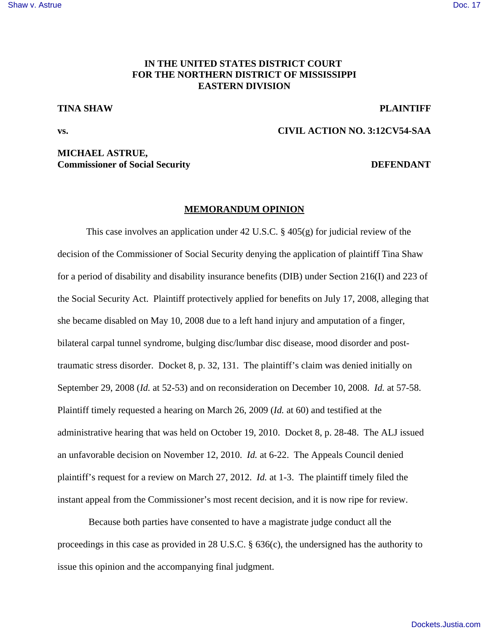## [Shaw v. Astrue](http://dockets.justia.com/docket/mississippi/msndce/3:2012cv00054/33260/) [Doc. 17](http://docs.justia.com/cases/federal/district-courts/mississippi/msndce/3:2012cv00054/33260/17/)

# **IN THE UNITED STATES DISTRICT COURT FOR THE NORTHERN DISTRICT OF MISSISSIPPI EASTERN DIVISION**

# **TINA SHAW PLAINTIFF**

# **vs. CIVIL ACTION NO. 3:12CV54-SAA**

# **MICHAEL ASTRUE, Commissioner of Social Security DEFENDANT**

## **MEMORANDUM OPINION**

This case involves an application under 42 U.S.C. § 405(g) for judicial review of the decision of the Commissioner of Social Security denying the application of plaintiff Tina Shaw for a period of disability and disability insurance benefits (DIB) under Section 216(I) and 223 of the Social Security Act. Plaintiff protectively applied for benefits on July 17, 2008, alleging that she became disabled on May 10, 2008 due to a left hand injury and amputation of a finger, bilateral carpal tunnel syndrome, bulging disc/lumbar disc disease, mood disorder and posttraumatic stress disorder. Docket 8, p. 32, 131. The plaintiff's claim was denied initially on September 29, 2008 (*Id.* at 52-53) and on reconsideration on December 10, 2008. *Id.* at 57-58. Plaintiff timely requested a hearing on March 26, 2009 (*Id.* at 60) and testified at the administrative hearing that was held on October 19, 2010. Docket 8, p. 28-48. The ALJ issued an unfavorable decision on November 12, 2010. *Id.* at 6-22. The Appeals Council denied plaintiff's request for a review on March 27, 2012. *Id.* at 1-3. The plaintiff timely filed the instant appeal from the Commissioner's most recent decision, and it is now ripe for review.

 Because both parties have consented to have a magistrate judge conduct all the proceedings in this case as provided in 28 U.S.C. § 636(c), the undersigned has the authority to issue this opinion and the accompanying final judgment.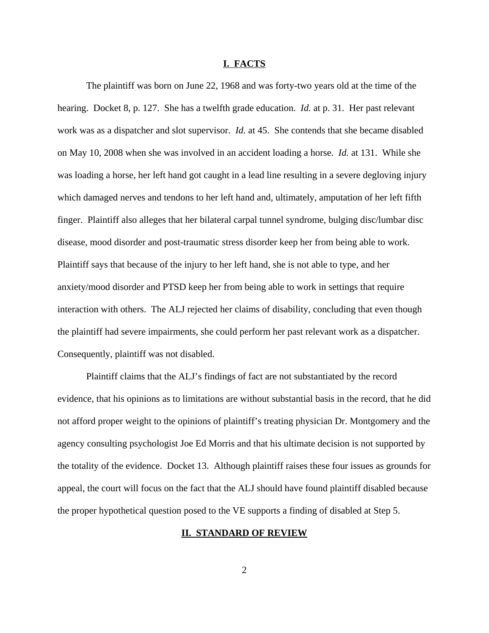### **I. FACTS**

The plaintiff was born on June 22, 1968 and was forty-two years old at the time of the hearing. Docket 8, p. 127. She has a twelfth grade education. *Id.* at p. 31. Her past relevant work was as a dispatcher and slot supervisor. *Id.* at 45. She contends that she became disabled on May 10, 2008 when she was involved in an accident loading a horse. *Id.* at 131. While she was loading a horse, her left hand got caught in a lead line resulting in a severe degloving injury which damaged nerves and tendons to her left hand and, ultimately, amputation of her left fifth finger. Plaintiff also alleges that her bilateral carpal tunnel syndrome, bulging disc/lumbar disc disease, mood disorder and post-traumatic stress disorder keep her from being able to work. Plaintiff says that because of the injury to her left hand, she is not able to type, and her anxiety/mood disorder and PTSD keep her from being able to work in settings that require interaction with others. The ALJ rejected her claims of disability, concluding that even though the plaintiff had severe impairments, she could perform her past relevant work as a dispatcher. Consequently, plaintiff was not disabled.

Plaintiff claims that the ALJ's findings of fact are not substantiated by the record evidence, that his opinions as to limitations are without substantial basis in the record, that he did not afford proper weight to the opinions of plaintiff's treating physician Dr. Montgomery and the agency consulting psychologist Joe Ed Morris and that his ultimate decision is not supported by the totality of the evidence. Docket 13. Although plaintiff raises these four issues as grounds for appeal, the court will focus on the fact that the ALJ should have found plaintiff disabled because the proper hypothetical question posed to the VE supports a finding of disabled at Step 5.

## **II. STANDARD OF REVIEW**

2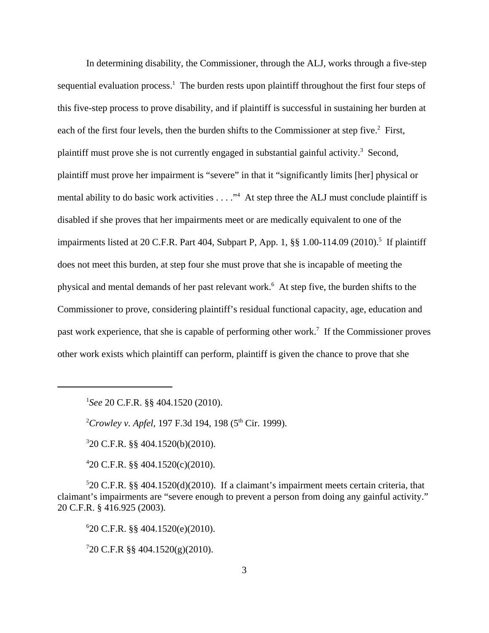In determining disability, the Commissioner, through the ALJ, works through a five-step sequential evaluation process.<sup>1</sup> The burden rests upon plaintiff throughout the first four steps of this five-step process to prove disability, and if plaintiff is successful in sustaining her burden at each of the first four levels, then the burden shifts to the Commissioner at step five.<sup>2</sup> First, plaintiff must prove she is not currently engaged in substantial gainful activity.<sup>3</sup> Second, plaintiff must prove her impairment is "severe" in that it "significantly limits [her] physical or mental ability to do basic work activities . . . ."<sup>4</sup> At step three the ALJ must conclude plaintiff is disabled if she proves that her impairments meet or are medically equivalent to one of the impairments listed at 20 C.F.R. Part 404, Subpart P, App. 1, §§ 1.00-114.09 (2010).<sup>5</sup> If plaintiff does not meet this burden, at step four she must prove that she is incapable of meeting the physical and mental demands of her past relevant work.<sup>6</sup> At step five, the burden shifts to the Commissioner to prove, considering plaintiff's residual functional capacity, age, education and past work experience, that she is capable of performing other work.<sup>7</sup> If the Commissioner proves other work exists which plaintiff can perform, plaintiff is given the chance to prove that she

1 *See* 20 C.F.R. §§ 404.1520 (2010).

<sup>2</sup>Crowley v. Apfel, 197 F.3d 194, 198 (5<sup>th</sup> Cir. 1999).

3 20 C.F.R. §§ 404.1520(b)(2010).

4 20 C.F.R. §§ 404.1520(c)(2010).

5 20 C.F.R. §§ 404.1520(d)(2010). If a claimant's impairment meets certain criteria, that claimant's impairments are "severe enough to prevent a person from doing any gainful activity." 20 C.F.R. § 416.925 (2003).

6 20 C.F.R. §§ 404.1520(e)(2010).

 $720$  C.F.R §§ 404.1520(g)(2010).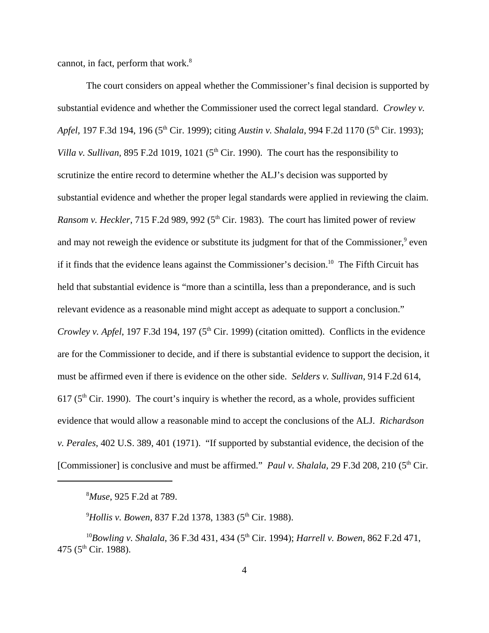cannot, in fact, perform that work.<sup>8</sup>

The court considers on appeal whether the Commissioner's final decision is supported by substantial evidence and whether the Commissioner used the correct legal standard. *Crowley v. Apfel,* 197 F.3d 194, 196 (5<sup>th</sup> Cir. 1999); citing *Austin v. Shalala*, 994 F.2d 1170 (5<sup>th</sup> Cir. 1993); *Villa v. Sullivan,* 895 F.2d 1019, 1021 ( $5<sup>th</sup>$  Cir. 1990). The court has the responsibility to scrutinize the entire record to determine whether the ALJ's decision was supported by substantial evidence and whether the proper legal standards were applied in reviewing the claim. *Ransom v. Heckler*, 715 F.2d 989, 992 (5<sup>th</sup> Cir. 1983). The court has limited power of review and may not reweigh the evidence or substitute its judgment for that of the Commissioner,<sup>9</sup> even if it finds that the evidence leans against the Commissioner's decision.<sup>10</sup> The Fifth Circuit has held that substantial evidence is "more than a scintilla, less than a preponderance, and is such relevant evidence as a reasonable mind might accept as adequate to support a conclusion." *Crowley v. Apfel*, 197 F.3d 194, 197 (5<sup>th</sup> Cir. 1999) (citation omitted). Conflicts in the evidence are for the Commissioner to decide, and if there is substantial evidence to support the decision, it must be affirmed even if there is evidence on the other side. *Selders v. Sullivan*, 914 F.2d 614, 617 ( $5<sup>th</sup>$  Cir. 1990). The court's inquiry is whether the record, as a whole, provides sufficient evidence that would allow a reasonable mind to accept the conclusions of the ALJ. *Richardson v. Perales*, 402 U.S. 389, 401 (1971). "If supported by substantial evidence, the decision of the [Commissioner] is conclusive and must be affirmed." *Paul v. Shalala,* 29 F.3d 208, 210 (5<sup>th</sup> Cir.

<sup>8</sup>*Muse*, 925 F.2d at 789.

<sup>9</sup>Hollis v. Bowen, 837 F.2d 1378, 1383 (5<sup>th</sup> Cir. 1988).

<sup>10</sup>Bowling v. Shalala, 36 F.3d 431, 434 (5<sup>th</sup> Cir. 1994); *Harrell v. Bowen*, 862 F.2d 471, 475 ( $5^{\text{th}}$  Cir. 1988).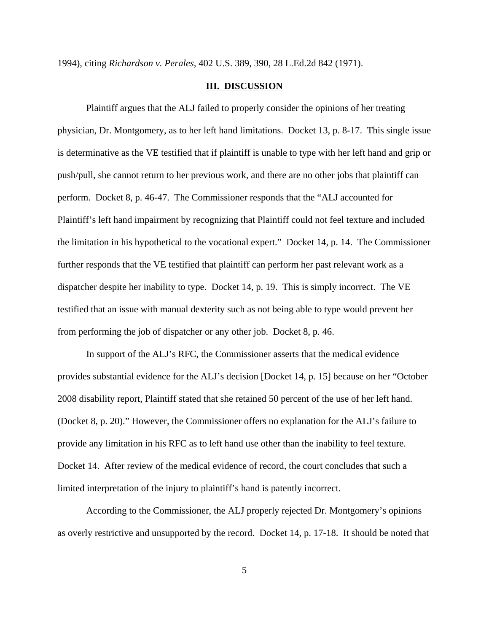1994), citing *Richardson v. Perales,* 402 U.S. 389, 390, 28 L.Ed.2d 842 (1971).

#### **III. DISCUSSION**

Plaintiff argues that the ALJ failed to properly consider the opinions of her treating physician, Dr. Montgomery, as to her left hand limitations. Docket 13, p. 8-17. This single issue is determinative as the VE testified that if plaintiff is unable to type with her left hand and grip or push/pull, she cannot return to her previous work, and there are no other jobs that plaintiff can perform. Docket 8, p. 46-47. The Commissioner responds that the "ALJ accounted for Plaintiff's left hand impairment by recognizing that Plaintiff could not feel texture and included the limitation in his hypothetical to the vocational expert." Docket 14, p. 14. The Commissioner further responds that the VE testified that plaintiff can perform her past relevant work as a dispatcher despite her inability to type. Docket 14, p. 19. This is simply incorrect. The VE testified that an issue with manual dexterity such as not being able to type would prevent her from performing the job of dispatcher or any other job. Docket 8, p. 46.

In support of the ALJ's RFC, the Commissioner asserts that the medical evidence provides substantial evidence for the ALJ's decision [Docket 14, p. 15] because on her "October 2008 disability report, Plaintiff stated that she retained 50 percent of the use of her left hand. (Docket 8, p. 20)." However, the Commissioner offers no explanation for the ALJ's failure to provide any limitation in his RFC as to left hand use other than the inability to feel texture. Docket 14. After review of the medical evidence of record, the court concludes that such a limited interpretation of the injury to plaintiff's hand is patently incorrect.

According to the Commissioner, the ALJ properly rejected Dr. Montgomery's opinions as overly restrictive and unsupported by the record. Docket 14, p. 17-18. It should be noted that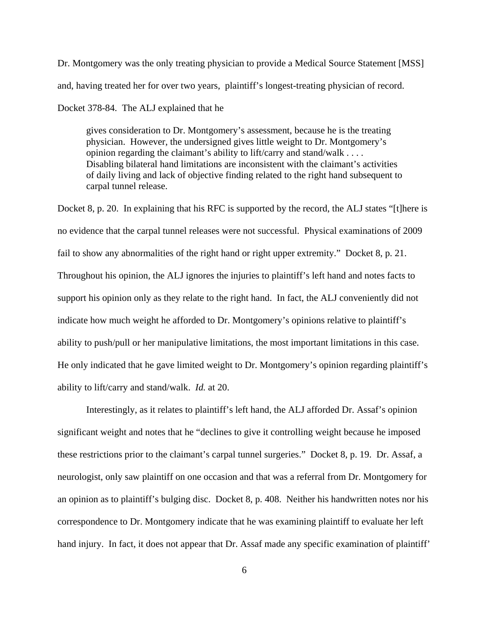Dr. Montgomery was the only treating physician to provide a Medical Source Statement [MSS] and, having treated her for over two years, plaintiff's longest-treating physician of record.

Docket 378-84. The ALJ explained that he

gives consideration to Dr. Montgomery's assessment, because he is the treating physician. However, the undersigned gives little weight to Dr. Montgomery's opinion regarding the claimant's ability to lift/carry and stand/walk . . . . Disabling bilateral hand limitations are inconsistent with the claimant's activities of daily living and lack of objective finding related to the right hand subsequent to carpal tunnel release.

Docket 8, p. 20. In explaining that his RFC is supported by the record, the ALJ states "[t]here is no evidence that the carpal tunnel releases were not successful. Physical examinations of 2009 fail to show any abnormalities of the right hand or right upper extremity." Docket 8, p. 21. Throughout his opinion, the ALJ ignores the injuries to plaintiff's left hand and notes facts to support his opinion only as they relate to the right hand. In fact, the ALJ conveniently did not indicate how much weight he afforded to Dr. Montgomery's opinions relative to plaintiff's ability to push/pull or her manipulative limitations, the most important limitations in this case. He only indicated that he gave limited weight to Dr. Montgomery's opinion regarding plaintiff's ability to lift/carry and stand/walk. *Id.* at 20.

Interestingly, as it relates to plaintiff's left hand, the ALJ afforded Dr. Assaf's opinion significant weight and notes that he "declines to give it controlling weight because he imposed these restrictions prior to the claimant's carpal tunnel surgeries." Docket 8, p. 19. Dr. Assaf, a neurologist, only saw plaintiff on one occasion and that was a referral from Dr. Montgomery for an opinion as to plaintiff's bulging disc. Docket 8, p. 408. Neither his handwritten notes nor his correspondence to Dr. Montgomery indicate that he was examining plaintiff to evaluate her left hand injury. In fact, it does not appear that Dr. Assaf made any specific examination of plaintiff'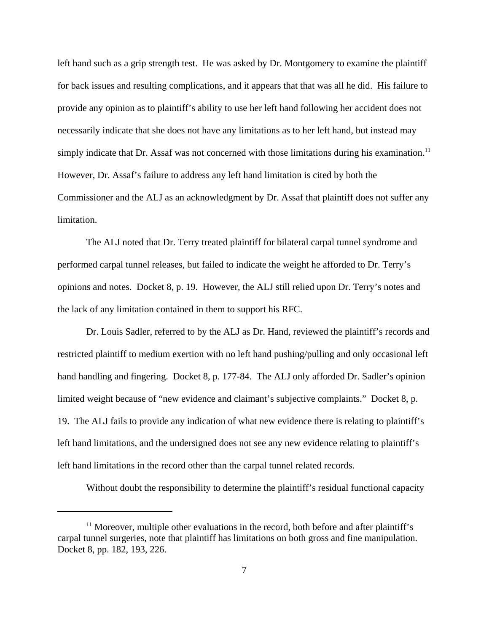left hand such as a grip strength test. He was asked by Dr. Montgomery to examine the plaintiff for back issues and resulting complications, and it appears that that was all he did. His failure to provide any opinion as to plaintiff's ability to use her left hand following her accident does not necessarily indicate that she does not have any limitations as to her left hand, but instead may simply indicate that Dr. Assaf was not concerned with those limitations during his examination.<sup>11</sup> However, Dr. Assaf's failure to address any left hand limitation is cited by both the Commissioner and the ALJ as an acknowledgment by Dr. Assaf that plaintiff does not suffer any limitation.

The ALJ noted that Dr. Terry treated plaintiff for bilateral carpal tunnel syndrome and performed carpal tunnel releases, but failed to indicate the weight he afforded to Dr. Terry's opinions and notes. Docket 8, p. 19. However, the ALJ still relied upon Dr. Terry's notes and the lack of any limitation contained in them to support his RFC.

Dr. Louis Sadler, referred to by the ALJ as Dr. Hand, reviewed the plaintiff's records and restricted plaintiff to medium exertion with no left hand pushing/pulling and only occasional left hand handling and fingering. Docket 8, p. 177-84. The ALJ only afforded Dr. Sadler's opinion limited weight because of "new evidence and claimant's subjective complaints." Docket 8, p. 19. The ALJ fails to provide any indication of what new evidence there is relating to plaintiff's left hand limitations, and the undersigned does not see any new evidence relating to plaintiff's left hand limitations in the record other than the carpal tunnel related records.

Without doubt the responsibility to determine the plaintiff's residual functional capacity

 $11$  Moreover, multiple other evaluations in the record, both before and after plaintiff's carpal tunnel surgeries, note that plaintiff has limitations on both gross and fine manipulation. Docket 8, pp. 182, 193, 226.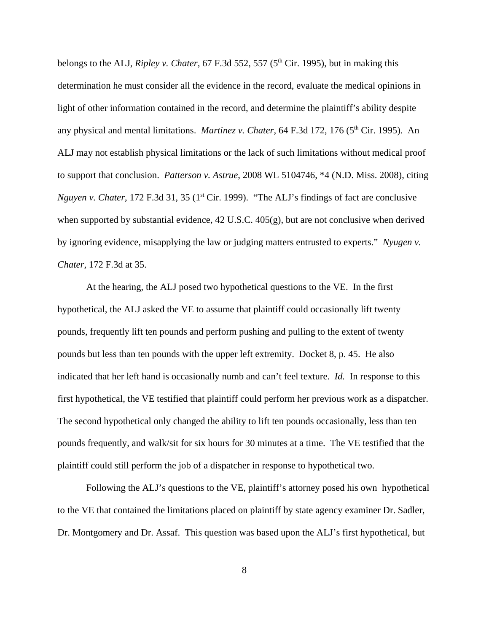belongs to the ALJ, *Ripley v. Chater*, 67 F.3d 552, 557 ( $5<sup>th</sup>$  Cir. 1995), but in making this determination he must consider all the evidence in the record, evaluate the medical opinions in light of other information contained in the record, and determine the plaintiff's ability despite any physical and mental limitations. *Martinez v. Chater*, 64 F.3d 172, 176 (5<sup>th</sup> Cir. 1995). An ALJ may not establish physical limitations or the lack of such limitations without medical proof to support that conclusion. *Patterson v. Astrue*, 2008 WL 5104746, \*4 (N.D. Miss. 2008), citing *Nguyen v. Chater*, 172 F.3d 31, 35 (1<sup>st</sup> Cir. 1999). "The ALJ's findings of fact are conclusive when supported by substantial evidence, 42 U.S.C. 405(g), but are not conclusive when derived by ignoring evidence, misapplying the law or judging matters entrusted to experts." *Nyugen v. Chater*, 172 F.3d at 35.

At the hearing, the ALJ posed two hypothetical questions to the VE. In the first hypothetical, the ALJ asked the VE to assume that plaintiff could occasionally lift twenty pounds, frequently lift ten pounds and perform pushing and pulling to the extent of twenty pounds but less than ten pounds with the upper left extremity. Docket 8, p. 45. He also indicated that her left hand is occasionally numb and can't feel texture. *Id.* In response to this first hypothetical, the VE testified that plaintiff could perform her previous work as a dispatcher. The second hypothetical only changed the ability to lift ten pounds occasionally, less than ten pounds frequently, and walk/sit for six hours for 30 minutes at a time. The VE testified that the plaintiff could still perform the job of a dispatcher in response to hypothetical two.

Following the ALJ's questions to the VE, plaintiff's attorney posed his own hypothetical to the VE that contained the limitations placed on plaintiff by state agency examiner Dr. Sadler, Dr. Montgomery and Dr. Assaf. This question was based upon the ALJ's first hypothetical, but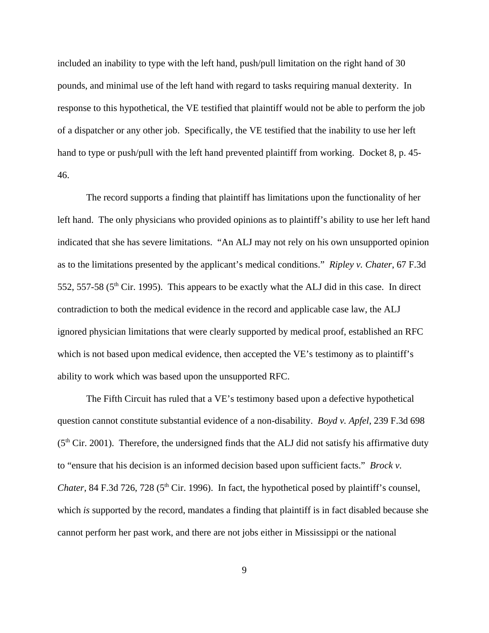included an inability to type with the left hand, push/pull limitation on the right hand of 30 pounds, and minimal use of the left hand with regard to tasks requiring manual dexterity. In response to this hypothetical, the VE testified that plaintiff would not be able to perform the job of a dispatcher or any other job. Specifically, the VE testified that the inability to use her left hand to type or push/pull with the left hand prevented plaintiff from working. Docket 8, p. 45- 46.

The record supports a finding that plaintiff has limitations upon the functionality of her left hand. The only physicians who provided opinions as to plaintiff's ability to use her left hand indicated that she has severe limitations. "An ALJ may not rely on his own unsupported opinion as to the limitations presented by the applicant's medical conditions." *Ripley v. Chater*, 67 F.3d 552, 557-58 ( $5<sup>th</sup>$  Cir. 1995). This appears to be exactly what the ALJ did in this case. In direct contradiction to both the medical evidence in the record and applicable case law, the ALJ ignored physician limitations that were clearly supported by medical proof, established an RFC which is not based upon medical evidence, then accepted the VE's testimony as to plaintiff's ability to work which was based upon the unsupported RFC.

The Fifth Circuit has ruled that a VE's testimony based upon a defective hypothetical question cannot constitute substantial evidence of a non-disability. *Boyd v. Apfel*, 239 F.3d 698  $(5<sup>th</sup> Cir. 2001)$ . Therefore, the undersigned finds that the ALJ did not satisfy his affirmative duty to "ensure that his decision is an informed decision based upon sufficient facts." *Brock v. Chater*, 84 F.3d 726, 728 ( $5<sup>th</sup>$  Cir. 1996). In fact, the hypothetical posed by plaintiff's counsel, which *is* supported by the record, mandates a finding that plaintiff is in fact disabled because she cannot perform her past work, and there are not jobs either in Mississippi or the national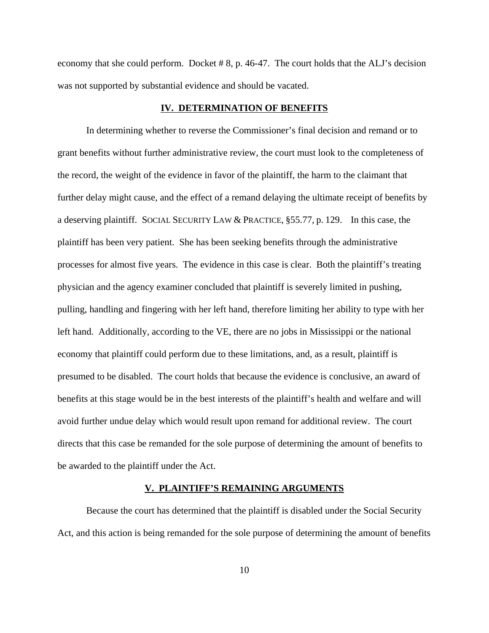economy that she could perform. Docket # 8, p. 46-47. The court holds that the ALJ's decision was not supported by substantial evidence and should be vacated.

#### **IV. DETERMINATION OF BENEFITS**

In determining whether to reverse the Commissioner's final decision and remand or to grant benefits without further administrative review, the court must look to the completeness of the record, the weight of the evidence in favor of the plaintiff, the harm to the claimant that further delay might cause, and the effect of a remand delaying the ultimate receipt of benefits by a deserving plaintiff. SOCIAL SECURITY LAW & PRACTICE, §55.77, p. 129. In this case, the plaintiff has been very patient. She has been seeking benefits through the administrative processes for almost five years. The evidence in this case is clear. Both the plaintiff's treating physician and the agency examiner concluded that plaintiff is severely limited in pushing, pulling, handling and fingering with her left hand, therefore limiting her ability to type with her left hand. Additionally, according to the VE, there are no jobs in Mississippi or the national economy that plaintiff could perform due to these limitations, and, as a result, plaintiff is presumed to be disabled. The court holds that because the evidence is conclusive, an award of benefits at this stage would be in the best interests of the plaintiff's health and welfare and will avoid further undue delay which would result upon remand for additional review. The court directs that this case be remanded for the sole purpose of determining the amount of benefits to be awarded to the plaintiff under the Act.

## **V. PLAINTIFF'S REMAINING ARGUMENTS**

Because the court has determined that the plaintiff is disabled under the Social Security Act, and this action is being remanded for the sole purpose of determining the amount of benefits